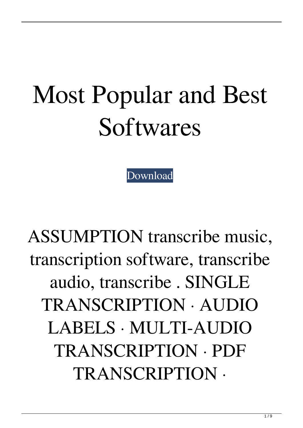## Most Popular and Best Softwares

[Download](http://evacdir.com/busybody.iodized/sutures/ZG93bmxvYWR8Nk9vWmprME0zeDhNVFkxTlRnME1qazRNWHg4TWpVM05IeDhLRTBwSUhKbFlXUXRZbXh2WnlCYlJtRnpkQ0JIUlU1ZA/VHJhbnNjcmliZSA3IDUwIExpY2Vuc2UgS2V5IEtleWdlbgVHJ=praktikos/brinkman)

ASSUMPTION transcribe music, transcription software, transcribe audio, transcribe . SINGLE TRANSCRIPTION · AUDIO LABELS · MULTI-AUDIO TRANSCRIPTION · PDF TRANSCRIPTION ·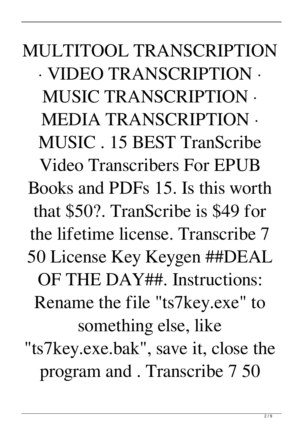MULTITOOL TRANSCRIPTION · VIDEO TRANSCRIPTION · MUSIC TRANSCRIPTION · MEDIA TRANSCRIPTION · MUSIC . 15 BEST TranScribe Video Transcribers For EPUB Books and PDFs 15. Is this worth that \$50?. TranScribe is \$49 for the lifetime license. Transcribe 7 50 License Key Keygen ##DEAL OF THE DAY##. Instructions: Rename the file "ts7key.exe" to something else, like "ts7key.exe.bak", save it, close the program and . Transcribe 7 50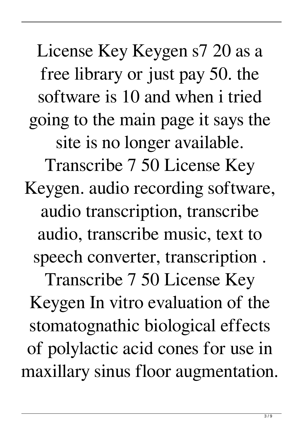License Key Keygen s7 20 as a free library or just pay 50. the software is 10 and when i tried going to the main page it says the site is no longer available. Transcribe 7 50 License Key Keygen. audio recording software, audio transcription, transcribe audio, transcribe music, text to speech converter, transcription . Transcribe 7 50 License Key Keygen In vitro evaluation of the stomatognathic biological effects of polylactic acid cones for use in maxillary sinus floor augmentation.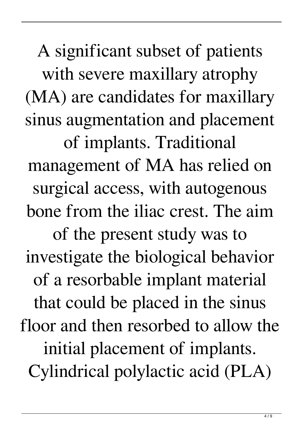A significant subset of patients with severe maxillary atrophy (MA) are candidates for maxillary sinus augmentation and placement of implants. Traditional management of MA has relied on surgical access, with autogenous bone from the iliac crest. The aim of the present study was to investigate the biological behavior of a resorbable implant material that could be placed in the sinus floor and then resorbed to allow the initial placement of implants. Cylindrical polylactic acid (PLA)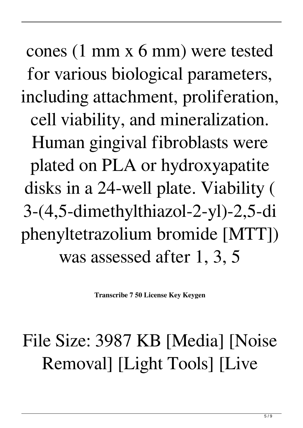cones (1 mm x 6 mm) were tested for various biological parameters, including attachment, proliferation, cell viability, and mineralization. Human gingival fibroblasts were plated on PLA or hydroxyapatite disks in a 24-well plate. Viability ( 3-(4,5-dimethylthiazol-2-yl)-2,5-di phenyltetrazolium bromide [MTT]) was assessed after 1, 3, 5

**Transcribe 7 50 License Key Keygen**

## File Size: 3987 KB [Media] [Noise Removal] [Light Tools] [Live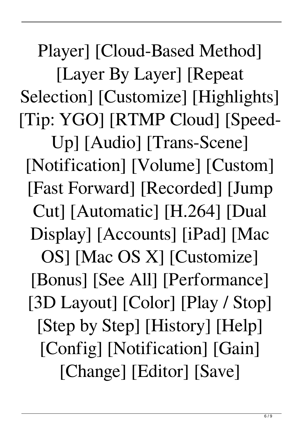Player] [Cloud-Based Method] [Layer By Layer] [Repeat Selection] [Customize] [Highlights] [Tip: YGO] [RTMP Cloud] [Speed-Up] [Audio] [Trans-Scene] [Notification] [Volume] [Custom] [Fast Forward] [Recorded] [Jump Cut] [Automatic] [H.264] [Dual Display] [Accounts] [iPad] [Mac OS] [Mac OS X] [Customize] [Bonus] [See All] [Performance] [3D Layout] [Color] [Play / Stop] [Step by Step] [History] [Help] [Config] [Notification] [Gain] [Change] [Editor] [Save]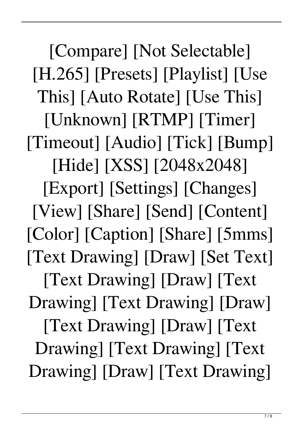[Compare] [Not Selectable] [H.265] [Presets] [Playlist] [Use This] [Auto Rotate] [Use This] [Unknown] [RTMP] [Timer] [Timeout] [Audio] [Tick] [Bump] [Hide] [XSS] [2048x2048] [Export] [Settings] [Changes] [View] [Share] [Send] [Content] [Color] [Caption] [Share] [5mms] [Text Drawing] [Draw] [Set Text] [Text Drawing] [Draw] [Text Drawing] [Text Drawing] [Draw] [Text Drawing] [Draw] [Text Drawing] [Text Drawing] [Text Drawing] [Draw] [Text Drawing]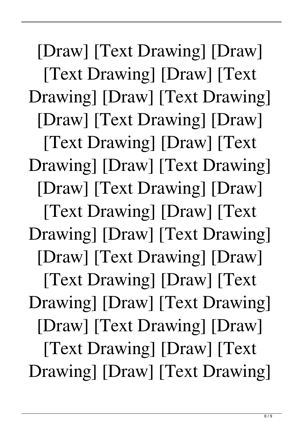[Draw] [Text Drawing] [Draw] [Text Drawing] [Draw] [Text Drawing] [Draw] [Text Drawing] [Draw] [Text Drawing] [Draw] [Text Drawing] [Draw] [Text Drawing] [Draw] [Text Drawing] [Draw] [Text Drawing] [Draw] [Text Drawing] [Draw] [Text Drawing] [Draw] [Text Drawing] [Draw] [Text Drawing] [Draw] [Text Drawing] [Draw] [Text Drawing] [Draw] [Text Drawing] [Draw] [Text Drawing] [Draw] [Text Drawing] [Draw] [Text Drawing] [Draw] [Text Drawing]